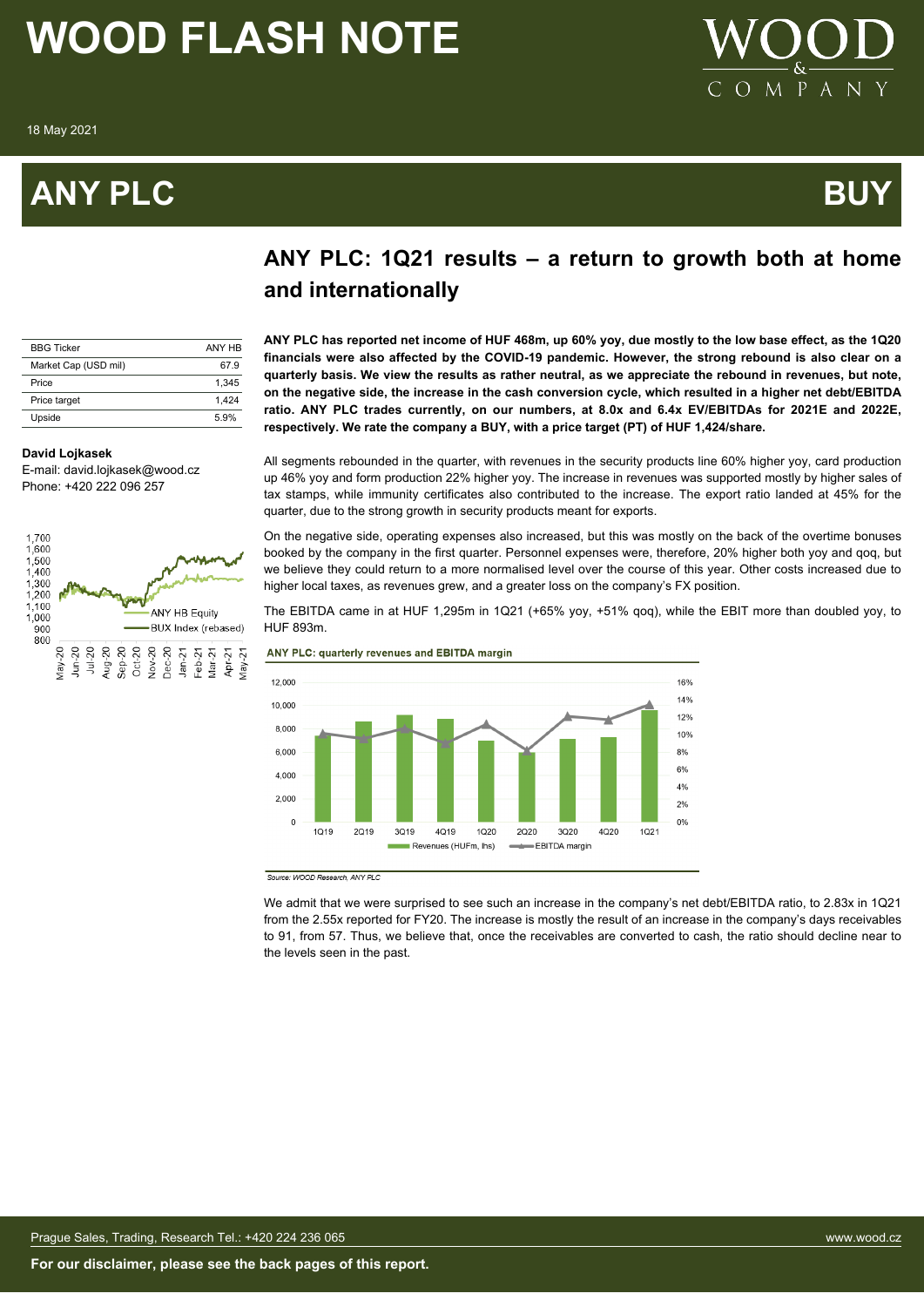18 May 2021

### **ANY PLC BUY**



### **ANY PLC: 1Q21 results – a return to growth both at home**

| <b>BBG Ticker</b>    | ANY HR |
|----------------------|--------|
| Market Cap (USD mil) | 67.9   |
| Price                | 1.345  |
| Price target         | 1.424  |
| Upside               | 5.9%   |

#### **David Lojkasek**

E-mail: david.lojkasek@wood.cz Phone: +420 222 096 257



### **and internationally**

**ANY PLC has reported net income of HUF 468m, up 60% yoy, due mostly to the low base effect, as the 1Q20 financials were also affected by the COVID-19 pandemic. However, the strong rebound is also clear on a quarterly basis. We view the results as rather neutral, as we appreciate the rebound in revenues, but note, on the negative side, the increase in the cash conversion cycle, which resulted in a higher net debt/EBITDA ratio. ANY PLC trades currently, on our numbers, at 8.0x and 6.4x EV/EBITDAs for 2021E and 2022E, respectively. We rate the company a BUY, with a price target (PT) of HUF 1,424/share.**

All segments rebounded in the quarter, with revenues in the security products line 60% higher yoy, card production up 46% yoy and form production 22% higher yoy. The increase in revenues was supported mostly by higher sales of tax stamps, while immunity certificates also contributed to the increase. The export ratio landed at 45% for the quarter, due to the strong growth in security products meant for exports.

On the negative side, operating expenses also increased, but this was mostly on the back of the overtime bonuses booked by the company in the first quarter. Personnel expenses were, therefore, 20% higher both yoy and qoq, but we believe they could return to a more normalised level over the course of this year. Other costs increased due to higher local taxes, as revenues grew, and a greater loss on the company's FX position.

The EBITDA came in at HUF 1,295m in 1Q21 (+65% yoy, +51% qoq), while the EBIT more than doubled yoy, to HUF 893m.

ANY PLC: quarterly revenues and EBITDA margin



Source: WOOD Research, ANY PLC

We admit that we were surprised to see such an increase in the company's net debt/EBITDA ratio, to 2.83x in 1Q21 from the 2.55x reported for FY20. The increase is mostly the result of an increase in the company's days receivables to 91, from 57. Thus, we believe that, once the receivables are converted to cash, the ratio should decline near to the levels seen in the past.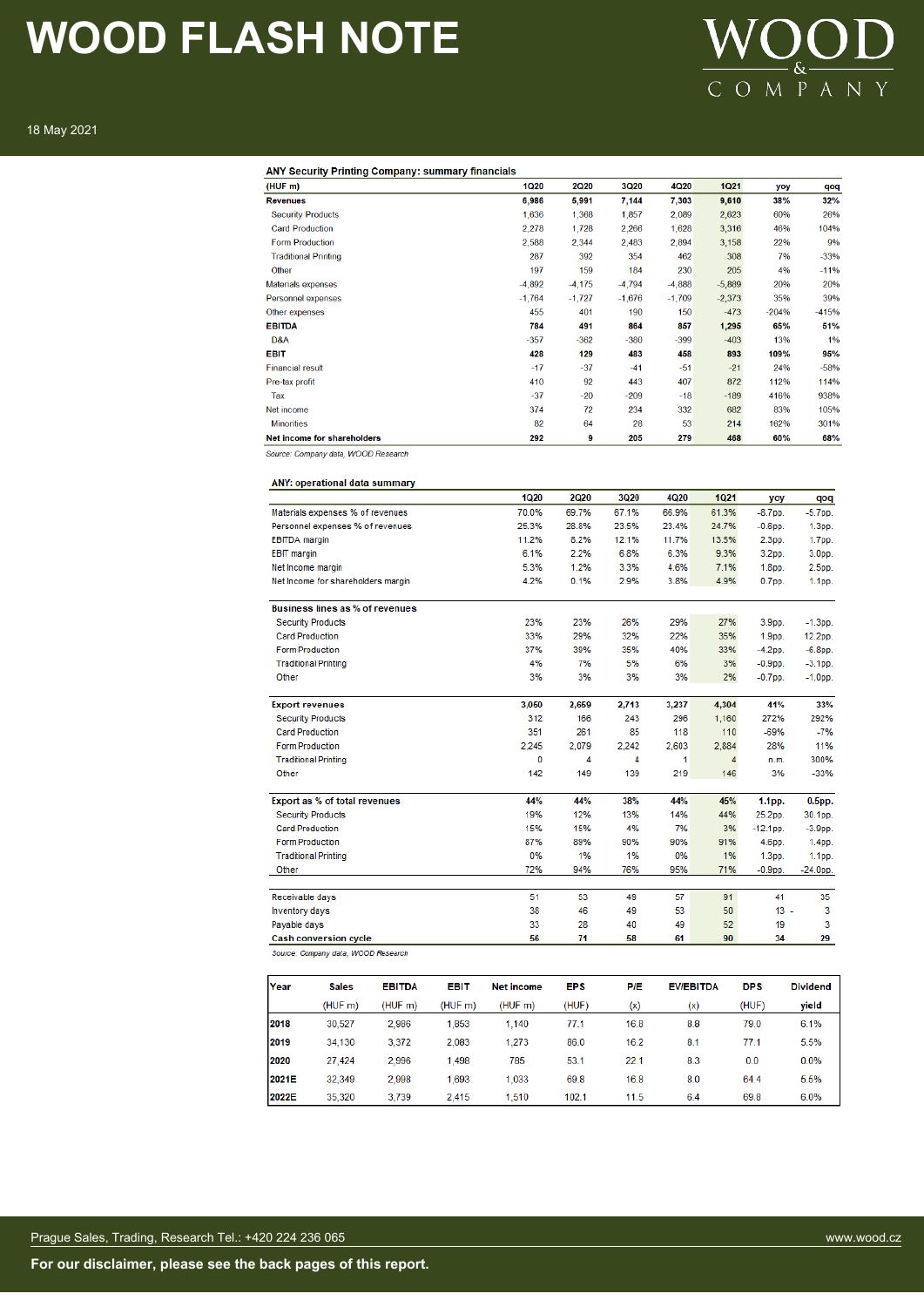### VOOD COMPANY

18 May 2021

| ANY Security Printing Company: summary financials<br>(HUF m) | <b>1Q20</b> | <b>2Q20</b> | <b>3Q20</b> | 4Q20     | <b>1Q21</b> | yoy               | qo         |
|--------------------------------------------------------------|-------------|-------------|-------------|----------|-------------|-------------------|------------|
| <b>Revenues</b>                                              | 6,986       | 5,991       | 7,144       | 7,303    | 9,610       | 38%               | 32%        |
| <b>Security Products</b>                                     | 1,636       | 1,368       | 1,857       | 2,089    | 2,623       | 60%               | 26%        |
| <b>Card Production</b>                                       | 2,278       | 1,728       | 2,266       | 1,628    | 3,316       | 46%               | 1049       |
| <b>Form Production</b>                                       | 2,588       | 2,344       | 2,483       | 2,894    | 3,158       | 22%               | 9%         |
| <b>Traditional Printing</b>                                  | 287         | 392         | 354         | 462      | 308         | 7%                | $-339$     |
| Other                                                        | 197         | 159         | 184         | 230      | 205         | 4%                | $-119$     |
| <b>Materials expenses</b>                                    | $-4,892$    | $-4,175$    | $-4,794$    | $-4,888$ | $-5,889$    | 20%               | 20%        |
| Personnel expenses                                           | $-1,764$    | $-1,727$    | $-1,676$    | $-1,709$ | $-2,373$    | 35%               | 399        |
| Other expenses                                               | 455         | 401         | 190         | 150      | $-473$      | $-204%$           | $-4159$    |
| <b>EBITDA</b>                                                | 784         | 491         | 864         | 857      | 1,295       | 65%               | 51%        |
| D&A                                                          | $-357$      | $-362$      | $-380$      | $-399$   | $-403$      | 13%               | 19         |
| <b>EBIT</b>                                                  | 428         | 129         | 483         | 458      | 893         | 109%              | 95%        |
| <b>Financial result</b>                                      | $-17$       | $-37$       | $-41$       | $-51$    | $-21$       | 24%               | $-589$     |
| Pre-tax profit                                               | 410         | 92          | 443         | 407      | 872         | 112%              | 1149       |
| Tax                                                          | $-37$       | $-20$       | $-209$      | $-18$    | $-189$      | 416%              | 938%       |
| Net income                                                   | 374         | 72          | 234         | 332      | 682         | 83%               | 105%       |
| <b>Minorities</b>                                            | 82          | 64          | 28          | 53       | 214         | 162%              | 3019       |
| Net income for shareholders                                  | 292         | 9           | 205         | 279      | 468         | 60%               | 68%        |
| Source: Company data, WOOD Research                          |             |             |             |          |             |                   |            |
|                                                              |             |             |             |          |             |                   |            |
| ANY: operational data summary                                |             |             |             |          |             |                   |            |
|                                                              | <b>1Q20</b> | 2Q20        | <b>3Q20</b> | 4Q20     | <b>1Q21</b> | yoy               | qoq        |
| Materials expenses % of revenues                             | 70.0%       | 69.7%       | 67.1%       | 66.9%    | 61.3%       | $-8.7$ pp.        | $-5.7$ pp. |
| Personnel expenses % of revenues                             | 25.3%       | 28.8%       | 23.5%       | 23.4%    | 24.7%       | $-0.6$ pp.        | 1.3pp.     |
| <b>EBITDA</b> margin                                         | 11.2%       | 8.2%        | 12.1%       | 11.7%    | 13.5%       | 2.3pp.            | 1.7pp.     |
| <b>EBIT</b> margin                                           | 6.1%        | 2.2%        | 6.8%        | 6.3%     | 9.3%        | 3.2pp.            | 3.0pp.     |
| Net Income margin                                            | 5.3%        | 1.2%        | 3.3%        | 4.6%     | 7.1%        | 1.8pp.            | 2.5pp.     |
| Net Income for shareholders margin                           | 4.2%        | 0.1%        | 2.9%        | 3.8%     | 4.9%        | 0.7 <sub>pp</sub> | 1.1pp.     |
|                                                              |             |             |             |          |             |                   |            |
| Business lines as % of revenues                              |             |             |             |          |             |                   |            |
| <b>Security Products</b>                                     | 23%         | 23%         | 26%         | 29%      | 27%         | 3.9pp.            | $-1.3$ pp. |
| <b>Card Production</b>                                       | 33%         | 29%         | 32%         | 22%      | 35%         | 1.9 <sub>pp</sub> | 12.2pp.    |
| <b>Form Production</b>                                       | 37%         | 39%         | 35%         | 40%      | 33%         | $-4.2$ pp.        | $-6.8$ pp. |
| <b>Traditional Printing</b>                                  | 4%          | 7%          | 5%          | 6%       | 3%          | $-0.9$ pp.        | $-3.1$ pp. |
| Other                                                        | 3%          | 3%          | 3%          | 3%       | 2%          | $-0.7$ pp.        | -1.0pp.    |
|                                                              |             |             |             |          |             |                   |            |
| <b>Export revenues</b>                                       | 3,050       | 2,659       | 2.713       | 3,237    | 4,304       | 41%               | 33%        |
| <b>Security Products</b>                                     | 312         | 166         | 243         | 296      | 1,160       | 272%              | 292%       |
| <b>Card Production</b>                                       | 351         | 261         | 85          | 118      | 110         | $-69%$            | $-7%$      |
| <b>Form Production</b>                                       | 2,245       | 2.079       | 2,242       | 2,603    | 2.884       | 28%               | 11%        |
| <b>Traditional Printing</b>                                  | 0           | 4           | 4           | 1        | 4           | n.m.              | 300%       |
| Other                                                        | 142         | 149         | 139         | 219      | 146         | 3%                | $-33%$     |
| Export as % of total revenues                                | 44%         | 44%         | 38%         | 44%      | 45%         | 1.1pp.            | $0.5pp$ .  |
| <b>Security Products</b>                                     | 19%         | 12%         | 13%         | 14%      | 44%         | 25.2pp.           | 30.1pp.    |
| <b>Card Production</b>                                       | 15%         | 15%         | 4%          | 7%       | 3%          | $-12.1$ pp.       | $-3.9pp$   |
| <b>Form Production</b>                                       | 87%         | 89%         | 90%         | 90%      | 91%         | 4.6pp.            | 1.4pp.     |
| <b>Traditional Printing</b>                                  | 0%          | 1%          | 1%          | 0%       | 1%          | 1.3pp.            | 1.1pp.     |
| Other                                                        | 72%         | 94%         | 76%         | 95%      | 71%         | $-0.9pp$          | $-24.0pp$  |
|                                                              |             |             |             |          |             |                   |            |
| Receivable days                                              | 51          | 53          | 49          | 57       | 91          | 41                | 35         |
| Inventory days                                               | 38          | 46          | 49          | 53       | 50          | 13                | 3          |
| Payable days                                                 | 33          | 28          | 40          | 49       | 52          | 19                | 3          |
| <b>Cash conversion cycle</b>                                 | 56          | 71          | 58          | 61       | 90          | 34                | 29         |

| Year  | <b>Sales</b> | <b>EBITDA</b> | <b>EBIT</b> | <b>Net income</b> | <b>EPS</b> | <b>P/E</b> | <b>EV/EBITDA</b> | <b>DPS</b> | <b>Dividend</b> |
|-------|--------------|---------------|-------------|-------------------|------------|------------|------------------|------------|-----------------|
|       | (HUF m)      | (HUF m)       | (HUF m)     | (HUF m)           | (HUF)      | (x)        | (x)              | (HUF)      | yield           |
| 2018  | 30.527       | 2.986         | 1.853       | 1.140             | 77.1       | 16.8       | 8.8              | 79.0       | 6.1%            |
| 2019  | 34.130       | 3.372         | 2.083       | 1.273             | 86.0       | 16.2       | 8.1              | 77.1       | 5.5%            |
| 2020  | 27,424       | 2.996         | 1,498       | 785               | 53.1       | 22.1       | 8.3              | 0.0        | 0.0%            |
| 2021E | 32.349       | 2.998         | 1.693       | 1.033             | 69.8       | 16.8       | 8.0              | 64.4       | 5.5%            |
| 2022E | 35,320       | 3.739         | 2.415       | 1,510             | 102.1      | 11.5       | 6.4              | 69.8       | 6.0%            |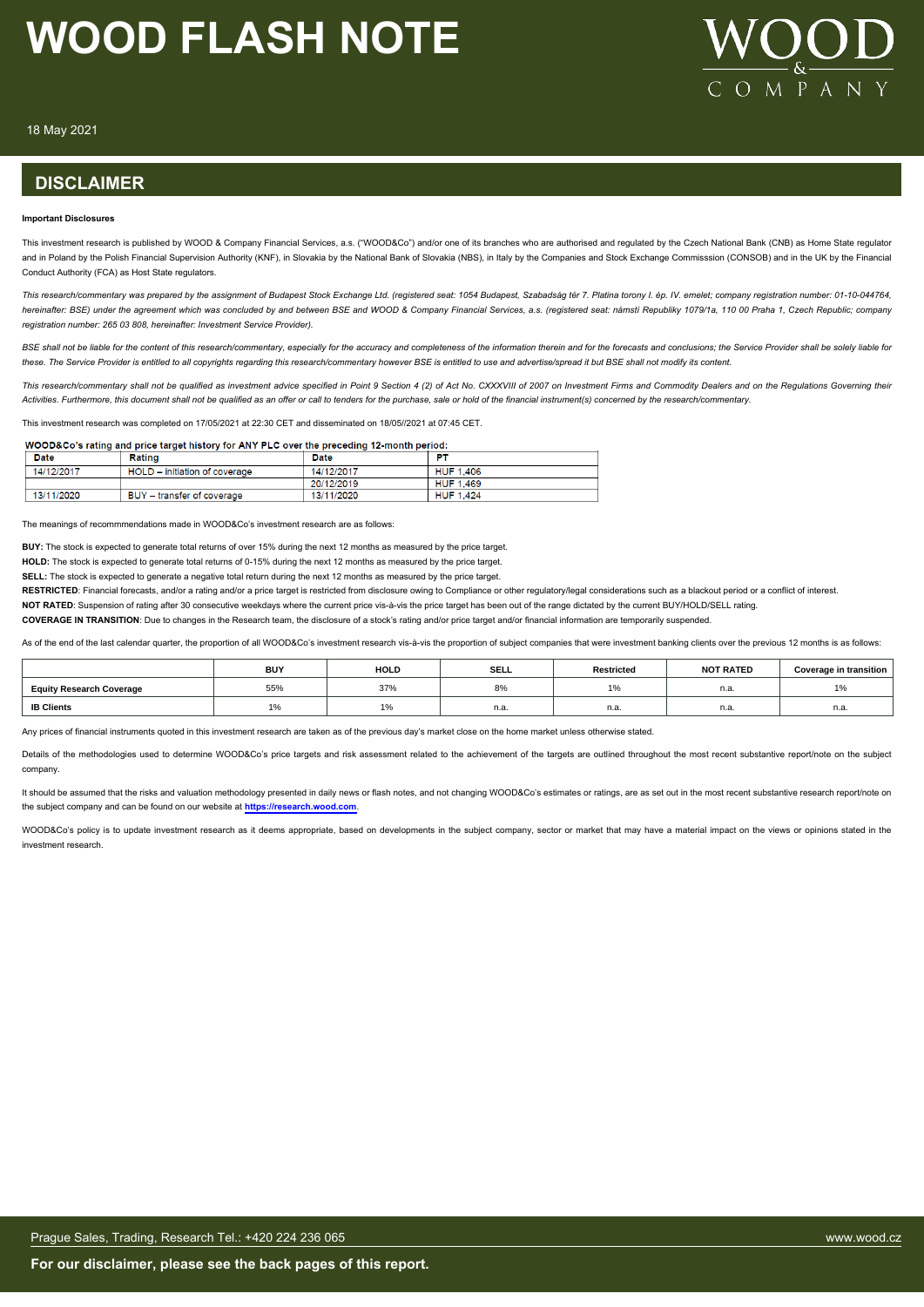

18 May 2021

#### **DISCLAIMER**

#### **Important Disclosures**

This investment research is published by WOOD & Company Financial Services, a.s. ("WOOD&Co") and/or one of its branches who are authorised and regulated by the Czech National Bank (CNB) as Home State regulator and in Poland by the Polish Financial Supervision Authority (KNF), in Slovakia by the National Bank of Slovakia (NBS), in Italy by the Companies and Stock Exchange Commisssion (CONSOB) and in the UK by the Financial Conduct Authority (FCA) as Host State regulators.

*This research/commentary was prepared by the assignment of Budapest Stock Exchange Ltd. (registered seat: 1054 Budapest, Szabadság tér 7. Platina torony I. ép. IV. emelet; company registration number: 01-10-044764, hereinafter: BSE) under the agreement which was concluded by and between BSE and WOOD & Company Financial Services, a.s. (registered seat: námstí Republiky 1079/1a, 110 00 Praha 1, Czech Republic; company registration number: 265 03 808, hereinafter: Investment Service Provider).*

BSE shall not be liable for the content of this research/commentary, especially for the accuracy and completeness of the information therein and for the forecasts and conclusions; the Service Provider shall be solely liabl *these. The Service Provider is entitled to all copyrights regarding this research/commentary however BSE is entitled to use and advertise/spread it but BSE shall not modify its content.*

This research/commentary shall not be qualified as investment advice specified in Point 9 Section 4 (2) of Act No. CXXXVIII of 2007 on Investment Firms and Commodity Dealers and on the Requlations Governing their *Activities. Furthermore, this document shall not be qualified as an offer or call to tenders for the purchase, sale or hold of the financial instrument(s) concerned by the research/commentary.*

This investment research was completed on 17/05/2021 at 22:30 CET and disseminated on 18/05//2021 at 07:45 CET.

#### WOOD&Co's rating and price target history for ANY PLC over the preceding 12-month period:

| Date       | Rating                                 | Date       | Đ.               |  |
|------------|----------------------------------------|------------|------------------|--|
| 14/12/2017 | HOLD - initiation of coverage          | 14/12/2017 | <b>HUF 1.406</b> |  |
|            |                                        | 20/12/2019 | <b>HUF 1,469</b> |  |
| 13/11/2020 | <b>BUY</b><br>' – transfer of coverage | 13/11/2020 | <b>HUF 1.424</b> |  |

The meanings of recommmendations made in WOOD&Co's investment research are as follows:

**BUY:** The stock is expected to generate total returns of over 15% during the next 12 months as measured by the price target.

**HOLD:** The stock is expected to generate total returns of 0-15% during the next 12 months as measured by the price target.

**SELL:** The stock is expected to generate a negative total return during the next 12 months as measured by the price target.

**RESTRICTED:** Financial forecasts, and/or a rating and/or a price target is restricted from disclosure owing to Compliance or other regulatory/legal considerations such as a blackout period or a conflict of interest.

**NOT RATED**: Suspension of rating after 30 consecutive weekdays where the current price vis-à-vis the price target has been out of the range dictated by the current BUY/HOLD/SELL rating.

**COVERAGE IN TRANSITION**: Due to changes in the Research team, the disclosure of a stock's rating and/or price target and/or financial information are temporarily suspended.

As of the end of the last calendar quarter, the proportion of all WOOD&Co's investment research vis-à-vis the proportion of subject companies that were investment banking clients over the previous 12 months is as follows:

|                                 | <b>BUY</b> | <b>HOLD</b>                     | <b>SELL</b> | <b>Restricted</b> | <b>NOT RATED</b> | <b>Coverage in transition</b> |
|---------------------------------|------------|---------------------------------|-------------|-------------------|------------------|-------------------------------|
| <b>Equity Research Coverage</b> | 55%        | 37%                             | <b>8%</b>   |                   | n.a.             | $\Delta$ $\Omega$             |
| <b>IB Clients</b>               | $\sim$     | $\Delta$ $\Omega$<br><b>170</b> | n.a.        | -<br>11.d.        | n.a.             | n.a.                          |

Any prices of financial instruments quoted in this investment research are taken as of the previous day's market close on the home market unless otherwise stated.

Details of the methodologies used to determine WOOD&Co's price targets and risk assessment related to the achievement of the targets are outlined throughout the most recent substantive report/note on the subject company.

It should be assumed that the risks and valuation methodology presented in daily news or flash notes, and not changing WOOD&Co's estimates or ratings, are as set out in the most recent substantive research report/note on the subject company and can be found on our website at **[https://research.wood.com](https://research.wood.com/)**.

WOOD&Co's policy is to update investment research as it deems appropriate, based on developments in the subject company, sector or market that may have a material impact on the views or opinions stated in the investment research.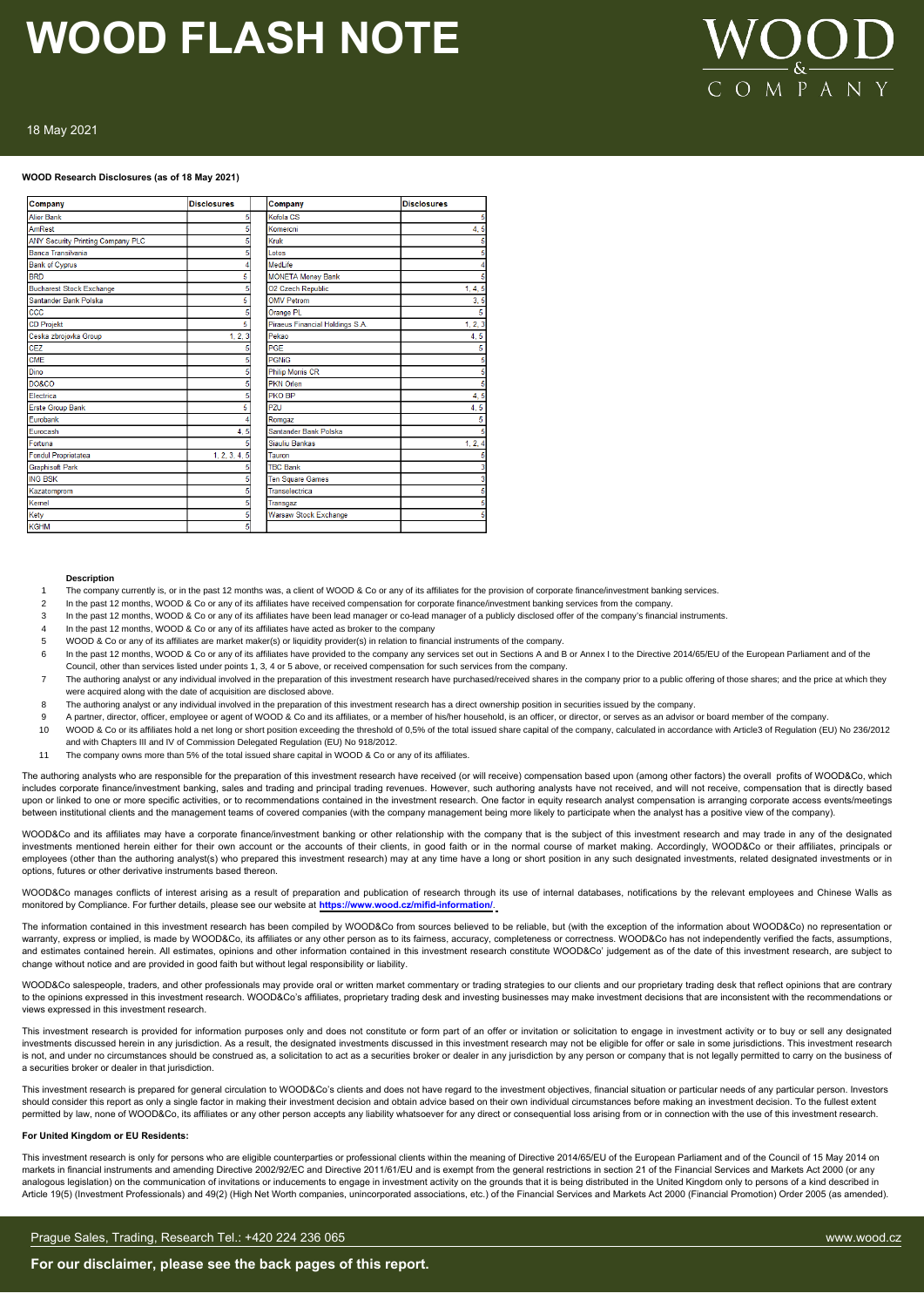# $M \stackrel{\sim}{P} A$

#### 18 May 2021

#### **WOOD Research Disclosures (as of 18 May 2021)**

| Company                                  | <b>Disclosures</b> | Company                         | <b>Disclosures</b> |
|------------------------------------------|--------------------|---------------------------------|--------------------|
| <b>Alior Bank</b>                        | 5                  | Kofola CS                       |                    |
| AmRest                                   |                    | Komercni                        | 4, 5               |
| <b>ANY Security Printing Company PLC</b> |                    | Kruk                            |                    |
| Banca Transilvania                       |                    | <b>Lotos</b>                    |                    |
| <b>Bank of Cyprus</b>                    |                    | MedLife                         |                    |
| <b>BRD</b>                               | 5                  | <b>MONETA Money Bank</b>        |                    |
| <b>Bucharest Stock Exchange</b>          |                    | O2 Czech Republic               | 1, 4, 5            |
| Santander Bank Polska                    | 5                  | <b>OMV Petrom</b>               | 3, 5               |
| ccc                                      |                    | Orange PL                       | 5                  |
| <b>CD Projekt</b>                        | 5                  | Piraeus Financial Holdings S.A. | 1, 2, 3            |
| Ceska zbrojovka Group                    | 1, 2, 3            | Pekao                           | 4, 5               |
| <b>CEZ</b>                               |                    | PGE                             |                    |
| <b>CME</b>                               |                    | <b>PGNiG</b>                    |                    |
| Dino                                     |                    | <b>Philip Morris CR</b>         |                    |
| <b>DO&amp;CO</b>                         |                    | <b>PKN Orlen</b>                |                    |
| Electrica                                |                    | PKO BP                          | 4,5                |
| <b>Erste Group Bank</b>                  | 5                  | PZU                             | 4, 5               |
| Eurobank                                 |                    | Romgaz                          | 5                  |
| Eurocash                                 | 4, 5               | Santander Bank Polska           |                    |
| Fortuna                                  |                    | Siauliu Bankas                  | 1, 2, 4            |
| Fondul Proprietatea                      | 1, 2, 3, 4, 5      | Tauron                          |                    |
| <b>Graphisoft Park</b>                   |                    | <b>TBC Bank</b>                 |                    |
| <b>ING BSK</b>                           |                    | <b>Ten Square Games</b>         |                    |
| Kazatomprom                              |                    | Transelectrica                  |                    |
| Kernel                                   |                    | Transgaz                        |                    |
| Kety                                     |                    | <b>Warsaw Stock Exchange</b>    |                    |
| <b>KGHM</b>                              | 5                  |                                 |                    |

#### **Description**

- The company currently is, or in the past 12 months was, a client of WOOD & Co or any of its affiliates for the provision of corporate finance/investment banking services.
- 2 In the past 12 months, WOOD & Co or any of its affiliates have received compensation for corporate finance/investment banking services from the company
- 3 In the past 12 months, WOOD & Co or any of its affiliates have been lead manager or co-lead manager of a publicly disclosed offer of the company's financial instruments
- In the past 12 months, WOOD & Co or any of its affiliates have acted as broker to the company
- 5 WOOD & Co or any of its affiliates are market maker(s) or liquidity provider(s) in relation to financial instruments of the company.
- 6 In the past 12 months, WOOD & Co or any of its affiliates have provided to the company any services set out in Sections A and B or Annex I to the Directive 2014/65/EU of the European Parliament and of the
- Council, other than services listed under points 1, 3, 4 or 5 above, or received compensation for such services from the company.
- 7 The authoring analyst or any individual involved in the preparation of this investment research have purchased/received shares in the company prior to a public offering of those shares; and the price at which they were acquired along with the date of acquisition are disclosed above.
- 8 The authoring analyst or any individual involved in the preparation of this investment research has a direct ownership position in securities issued by the company.
- 9 A partner, director, officer, employee or agent of WOOD & Co and its affiliates, or a member of his/her household, is an officer, or director, or serves as an advisor or board member of the company.
- 10 WOOD & Co or its affiliates hold a net long or short position exceeding the threshold of 0,5% of the total issued share capital of the company, calculated in accordance with Article3 of Regulation (EU) No 236/2012 and with Chapters III and IV of Commission Delegated Regulation (EU) No 918/2012.
- 11 The company owns more than 5% of the total issued share capital in WOOD & Co or any of its affiliates.

The authoring analysts who are responsible for the preparation of this investment research have received (or will receive) compensation based upon (among other factors) the overall profits of WOOD&Co, which includes corporate finance/investment banking, sales and trading and principal trading revenues. However, such authoring analysts have not received, and will not receive, compensation that is directly based upon or linked to one or more specific activities, or to recommendations contained in the investment research. One factor in equity research analyst compensation is arranging corporate access events/meetings between institutional clients and the management teams of covered companies (with the company management being more likely to participate when the analyst has a positive view of the company).

WOOD&Co and its affiliates may have a corporate finance/investment banking or other relationship with the company that is the subject of this investment research and may trade in any of the designated investments mentioned herein either for their own account or the accounts of their clients, in good faith or in the normal course of market making. Accordingly, WOOD&Co or their affiliates, principals or employees (other than the authoring analyst(s) who prepared this investment research) may at any time have a long or short position in any such designated investments, related designated investments or in options, futures or other derivative instruments based thereon.

WOOD&Co manages conflicts of interest arising as a result of preparation and publication of research through its use of internal databases, notifications by the relevant employees and Chinese Walls as<br>monitored by Complian monitored by Compliance. For further details, please see our website at **https://ww** 

The information contained in this investment research has been compiled by WOOD&Co from sources believed to be reliable, but (with the exception of the information about WOOD&Co) no representation or warranty, express or implied, is made by WOOD&Co, its affiliates or any other person as to its fairness, accuracy, completeness or correctness. WOOD&Co has not independently verified the facts, assumptions, and estimates contained herein. All estimates, opinions and other information contained in this investment research constitute WOOD&Co' judgement as of the date of this investment research, are subject to an explicit to th change without notice and are provided in good faith but without legal responsibility or liability.

WOOD&Co salespeople, traders, and other professionals may provide oral or written market commentary or trading strategies to our clients and our proprietary trading desk that reflect opinions that are contrary to the opinions expressed in this investment research. WOOD&Co's affiliates, proprietary trading desk and investing businesses may make investment decisions that are inconsistent with the recommendations or views expressed in this investment research.

This investment research is provided for information purposes only and does not constitute or form part of an offer or invitation or solicitation to engage in investment activity or to buy or sell any designated investments discussed herein in any jurisdiction. As a result, the designated investments discussed in this investment research may not be eligible for offer or sale in some jurisdictions. This investment research is not, and under no circumstances should be construed as, a solicitation to act as a securities broker or dealer in any jurisdiction by any person or company that is not legally permitted to carry on the business of a securities broker or dealer in that jurisdiction.

This investment research is prepared for general circulation to WOOD&Co's clients and does not have regard to the investment objectives, financial situation or particular needs of any particular person. Investors should consider this report as only a single factor in making their investment decision and obtain advice based on their own individual circumstances before making an investment decision. To the fullest extent permitted by law, none of WOOD&Co, its affiliates or any other person accepts any liability whatsoever for any direct or consequential loss arising from or in connection with the use of this investment research.

#### **For United Kingdom or EU Residents:**

This investment research is only for persons who are eligible counterparties or professional clients within the meaning of Directive 2014/65/EU of the European Parliament and of the Council of 15 May 2014 on markets in financial instruments and amending Directive 2002/92/EC and Directive 2011/61/EU and is exempt from the general restrictions in section 21 of the Financial Services and Markets Act 2000 (or any analogous legislation) on the communication of invitations or inducements to engage in investment activity on the grounds that it is being distributed in the United Kingdom only to persons of a kind described in<br>Article 19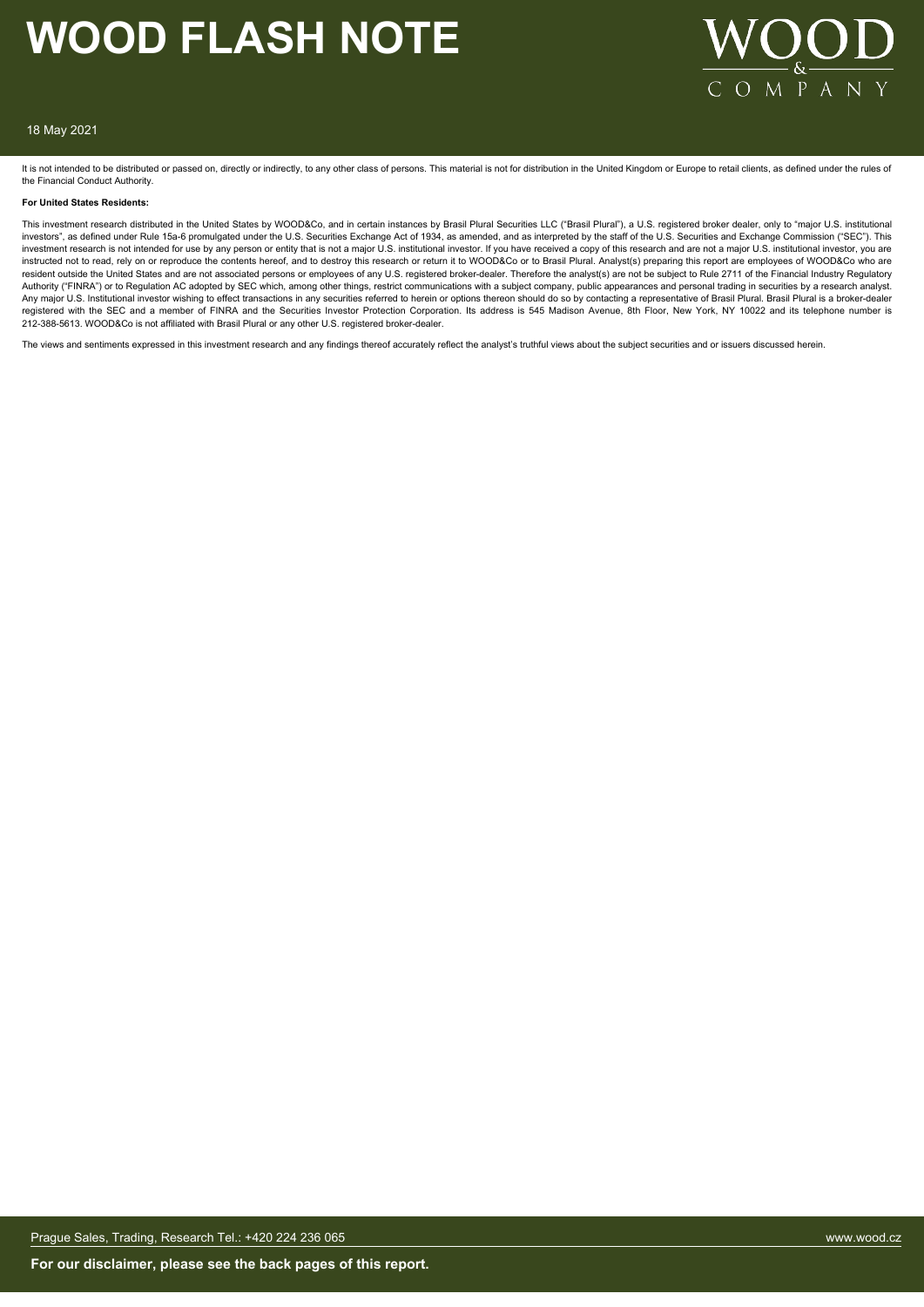

#### 18 May 2021

It is not intended to be distributed or passed on, directly or indirectly, to any other class of persons. This material is not for distribution in the United Kingdom or Europe to retail clients, as defined under the rules the Financial Conduct Authority.

#### **For United States Residents:**

This investment research distributed in the United States by WOOD&Co, and in certain instances by Brasil Plural Securities LLC ("Brasil Plural"), a U.S. registered broker dealer, only to "major U.S. institutional investors", as defined under Rule 15a-6 promulgated under the U.S. Securities Exchange Act of 1934, as amended, and as interpreted by the staff of the U.S. Securities and Exchange Commission ("SEC"). This investment research is not intended for use by any person or entity that is not a major U.S. institutional investor. If you have received a copy of this research and are not a major U.S. institutional investor, you are instructed not to read, rely on or reproduce the contents hereof, and to destroy this research or return it to WOOD&Co or to Brasil Plural. Analyst(s) preparing this report are employees of WOOD&Co who are resident outside the United States and are not associated persons or employees of any U.S. registered broker-dealer. Therefore the analyst(s) are not be subject to Rule 2711 of the Financial Industry Regulatory Authority ("FINRA") or to Regulation AC adopted by SEC which, among other things, restrict communications with a subject company, public appearances and personal trading in securities by a research analyst. Any major U.S. Institutional investor wishing to effect transactions in any securities referred to herein or options thereon should do so by contacting a representative of Brasil Plural. Brasil Plural is a broker-dealer<br>re 212-388-5613. WOOD&Co is not affiliated with Brasil Plural or any other U.S. registered broker-dealer.

The views and sentiments expressed in this investment research and any findings thereof accurately reflect the analyst's truthful views about the subject securities and or issuers discussed herein.